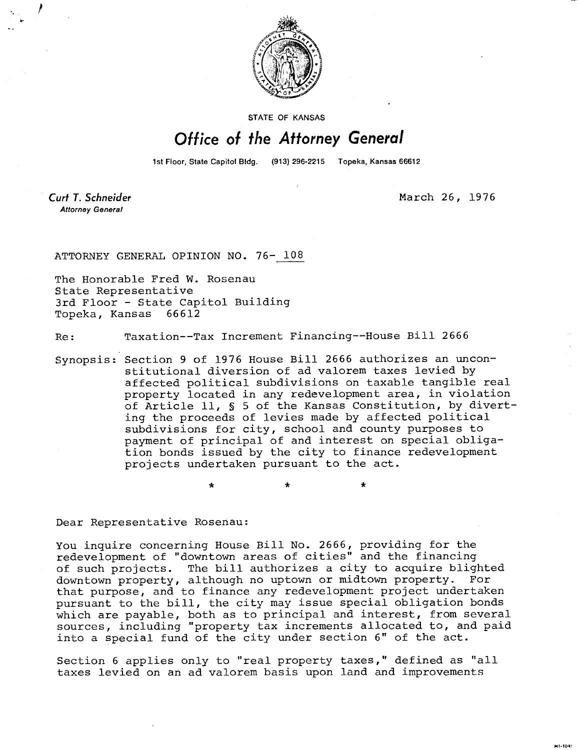

**STATE OF KANSAS** 

## Office of the Attorney General

1st Floor, State Capitol Bldg. (913) 296-2215 Topeka, Kansas 66612

Curt T. Schneider **Attorney General** 

March 26, 1976

MI-1043

ATTORNEY GENERAL OPINION NO. 76- 108

The Honorable Fred W. Rosenau State Representative 3rd Floor - State Capitol Building Topeka, Kansas 66612

Re: Taxation--Tax Increment Financing--House Bill 2666

\* \*

Synopsis: Section 9 of 1976 House Bill 2666 authorizes an unconstitutional diversion of ad valorem taxes levied by affected political subdivisions on taxable tangible real property located in any redevelopment area, in violation of Article 11, § 5 of the Kansas Constitution, by diverting the proceeds of levies made by affected political subdivisions for city, school and county purposes to payment of principal of and interest on special obligation bonds issued by the city to finance redevelopment projects undertaken pursuant to the act.

Dear Representative Rosenau:

You inquire concerning House Bill No. 2666, providing for the redevelopment of "downtown areas of cities" and the financing of such projects. The bill authorizes a city to acquire blighted downtown property, although no uptown or midtown property. For that purpose, and to finance any redevelopment project undertaken pursuant to the bill, the city may issue special obligation bonds which are payable, both as to principal and interest, from several sources, including "property tax increments allocated to, and paid into a special fund of the city under section 6" of the act.

Section 6 applies only to "real property taxes," defined as "all taxes levied on an ad valorem basis upon land and improvements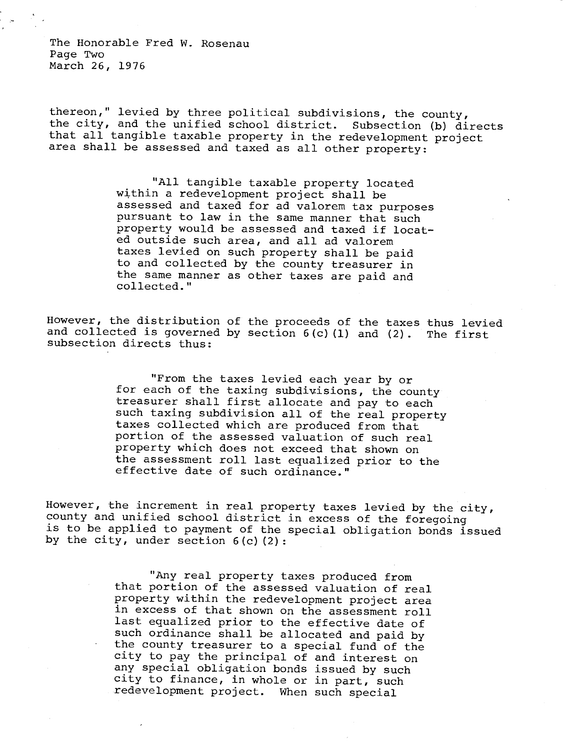The Honorable Fred W. Rosenau Page Two March 26, 1976

thereon," levied by three political subdivisions, the county, the city, and the unified school district. Subsection (b) directs that all tangible taxable property in the redevelopment project area shall be assessed and taxed as all other property:

> "All tangible taxable property located within a redevelopment project shall be assessed and taxed for ad valorem tax purposes pursuant to law in the same manner that such property would be assessed and taxed if located outside such area, and all ad valorem taxes levied on such property shall be paid to and collected by the county treasurer in the same manner as other taxes are paid and collected."

However, the distribution of the proceeds of the taxes thus levied and collected is governed by section  $6(c)(1)$  and  $(2)$ . The first subsection directs thus:

> "From the taxes levied each year by or for each of the taxing subdivisions, the county treasurer shall first allocate and pay to each such taxing subdivision all of the real property taxes collected which are produced from that portion of the assessed valuation of such real property which does not exceed that shown on the assessment roll last equalized prior to the effective date of such ordinance."

However, the increment in real property taxes levied by the city, county and unified school district in excess of the foregoing is to be applied to payment of the special obligation bonds issued by the city, under section  $6(c)(2)$ :

> "Any real property taxes produced from that portion of the assessed valuation of real property within the redevelopment project area in excess of that shown on the assessment roll last equalized prior to the effective date of such ordinance shall be allocated and paid by the county treasurer to a special fund of the city to pay the principal of and interest on any special obligation bonds issued by such city to finance, in whole or in part, such redevelopment project. When such special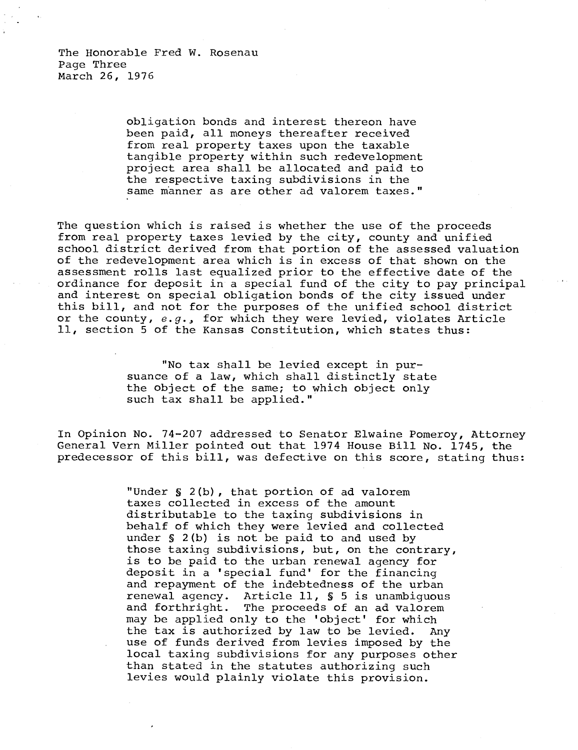The Honorable Fred W. Rosenau Page Three March 26, 1976

> obligation bonds and interest thereon have been paid, all moneys thereafter received from real property taxes upon the taxable tangible property within such redevelopment project area shall be allocated and paid to the respective taxing subdivisions in the same manner as are other ad valorem taxes."

The question which is raised is whether the use of the proceeds from real property taxes levied by the city, county and unified school district derived from that portion of the assessed valuation of the redevelopment area which is in excess of that shown on the assessment rolls last equalized prior to the effective date of the ordinance for deposit in a special fund of the city to pay principal and interest on special obligation bonds of the city issued under this bill, and not for the purposes of the unified school district or the county, e.g., for which they were levied, violates Article 11, section 5 of the Kansas Constitution, which states thus:

> "No tax shall be levied except in pursuance of a law, which shall distinctly state the object of the same; to which object only such tax shall be applied."

In Opinion No. 74-207 addressed to Senator Elwaine Pomeroy, Attorney General Vern Miller pointed out that 1974 House Bill No. 1745, the predecessor of this bill, was defective on this score, stating thus:

> "Under § 2(b), that portion of ad valorem taxes collected in excess of the amount distributable to the taxing subdivisions in behalf of which they were levied and collected under § 2(b) is not be paid to and used by those taxing subdivisions, but, on the contrary, is to be paid to the urban renewal agency for deposit in a 'special fund' for the financing and repayment of the indebtedness of the urban renewal agency. Article 11, § 5 is unambiguous and forthright. The proceeds of an ad valorem may be applied only to the 'object' for which the tax is authorized by law to be levied. Any use of funds derived from levies imposed by the local taxing subdivisions for any purposes other than stated in the statutes authorizing such levies would plainly violate this provision.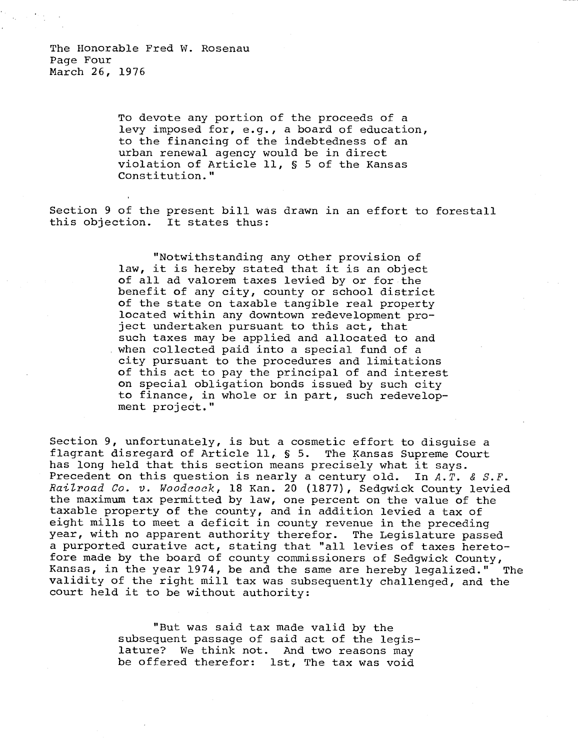To devote any portion of the proceeds of a levy imposed for, e.g., a board of education, to the financing of the indebtedness of an urban renewal agency would be in direct violation of Article 11, § 5 of the Kansas Constitution."

Section 9 of the present bill was drawn in an effort to forestall this objection. It states thus:

> "Notwithstanding any other provision of law, it is hereby stated that it is an object of all ad valorem taxes levied by or for the benefit of any city, county or school district of the state on taxable tangible real property located within any downtown redevelopment project undertaken pursuant to this act, that such taxes may be applied and allocated to and when collected paid into a special fund of a city pursuant to the procedures and limitations of this act to pay the principal of and interest on special obligation bonds issued by such city to finance, in whole or in part, such redevelopment project."

Section 9, unfortunately, is but a cosmetic effort to disguise a flagrant disregard of Article 11, § 5. The Kansas Supreme Court has long held that this section means precisely what it says. Precedent on this question is nearly a century old. In  $A.\overline{T}$ . &  $S.F$ . Railroad Co. v. Woodcock, 18 Kan. 20 (1877), Sedgwick County levied the maximum tax permitted by law, one percent on the value of the taxable property of the county, and in addition levied a tax of eight mills to meet a deficit in county revenue in the preceding year, with no apparent authority therefor. The Legislature passed a purported curative act, stating that "all levies of taxes heretofore made by the board of county commissioners of Sedgwick County, Kansas, in the year 1974, be and the same are hereby legalized." The validity of the right mill tax was subsequently challenged, and the court held it to be without authority:

> "But was said tax made valid by the subsequent passage of said act of the legislature? We think not. And two reasons may be offered therefor: 1st, The tax was void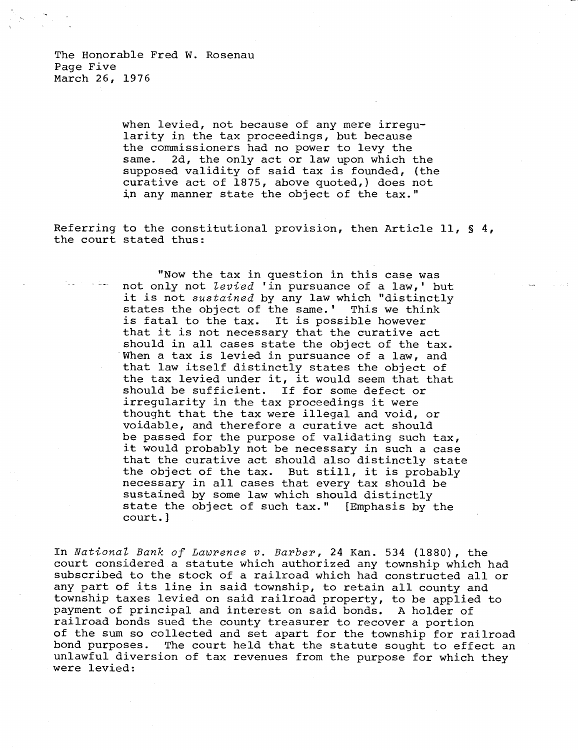when levied, not because of any mere irregularity in the tax proceedings, but because the commissioners had no power to levy the same. 2d, the only act or law upon which the supposed validity of said tax is founded, (the curative act of 1875, above quoted,) does not in any manner state the object of the tax."

Referring to the constitutional provision, then Article 11, § 4, the court stated thus:

> "Now the tax in question in this case was not only not levied 'in pursuance of a law,' but it is not sustained by any law which "distinctly states the object of the same.' This we think is fatal to the tax. It is possible however that it is not necessary that the curative act should in all cases state the object of the tax. When a tax is levied in pursuance of a law, and that law itself distinctly states the object of the tax levied under it, it would seem that that should be sufficient. If for some defect or irregularity in the tax proceedings it were thought that the tax were illegal and void, or voidable, and therefore a curative act should be passed for the purpose of validating such tax, it would probably not be necessary in such a case that the curative act should also distinctly state the object of the tax. But still, it is probably necessary in all cases that every tax should be sustained by some law which should distinctly state the object of such tax." [Emphasis by the court.]

In National Bank of Lawrence v. Barber, 24 Kan. 534 (1880), the court considered a statute which authorized any township which had subscribed to the stock of a railroad which had constructed all or any part of its line in said township, to retain all county and township taxes levied on said railroad property, to be applied to payment of principal and interest on said bonds. A holder of railroad bonds sued the county treasurer to recover a portion of the sum so collected and set apart for the township for railroad<br>bond purposes. The court held that the statute sought to effect an The court held that the statute sought to effect an unlawful diversion of tax revenues from the purpose for which they were levied: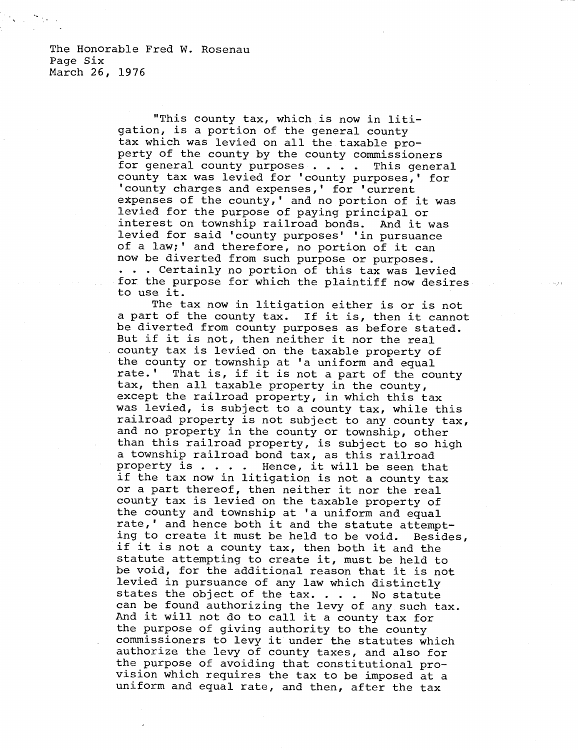The Honorable Fred W. Rosenau Page Six March 26, 1976

> "This county tax, which is now in litigation, is a portion of the general county tax which was levied on all the taxable property of the county by the county commissioners for general county purposes . . . . This general county tax was levied for 'county purposes,' for 'county charges and expenses,' for 'current expenses of the county,' and no portion of it was levied for the purpose of paying principal or interest on township railroad bonds. And it was levied for said 'county purposes' in pursuance of a law;' and therefore, no portion of it can now be diverted from such purpose or purposes. . . . Certainly no portion of this tax was levied for the purpose for which the plaintiff now desires to use it.

> The tax now in litigation either is or is not a part of the county tax. If it is, then it cannot be diverted from county purposes as before stated. But if it is not, then neither it nor the real county tax is levied on the taxable property of the county or township at 'a uniform and equal rate.' That is, if it is not a part of the com That is, if it is not a part of the county tax, then all taxable property in the county, except the railroad property, in which this tax was levied, is subject to a county tax, while this railroad property is not subject to any county tax, and no property in the county or township, other than this railroad property, is subject to so high a township railroad bond tax, as this railroad property is . . . . Hence, it will be seen that if the tax now in litigation is not a county tax or a part thereof, then neither it nor the real county tax is levied on the taxable property of the county and township at 'a uniform and equal rate,' and hence both it and the statute attempting to create it must be held to be void. Besides, if it is not a county tax, then both it and the statute attempting to create it, must be held to be void, for the additional reason that it is not levied in pursuance of any law which distinctly states the object of the tax. . . . No statute can be found authorizing the levy of any such tax. And it will not do to call it a county tax for the purpose of giving authority to the county commissioners to levy it under the statutes which authorize the levy of county taxes, and also for the purpose of avoiding that constitutional provision which requires the tax to be imposed at a uniform and equal rate, and then, after the tax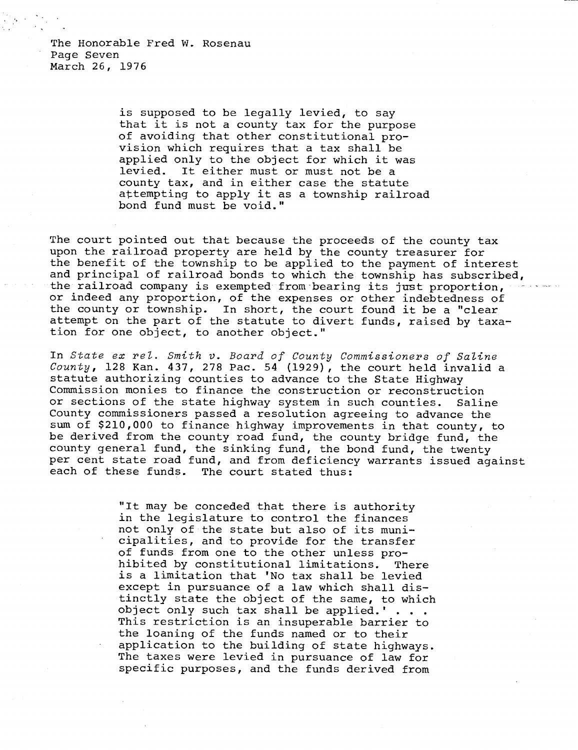The Honorable Fred W. Rosenau Page Seven March 26, 1976

> is supposed to be legally levied, to say that it is not a county tax for the purpose of avoiding that other constitutional provision which requires that a tax shall be applied only to the object for which it was levied. It either must or must not be a county tax, and in either case the statute attempting to apply it as a township railroad bond fund must be void."

The court pointed out that because the proceeds of the county tax upon the railroad property are held by the county treasurer for the benefit of the township to be applied to the payment of interest and principal of railroad bonds to which the township has subscribed, the railroad company is exempted from bearing its just proportion, or indeed any proportion, of the expenses or other indebtedness of the county or township. In short, the court found it be a "clear attempt on the part of the statute to divert funds, raised by taxation for one object, to another object."

In State ex rel. Smith v. Board of County Commissioners of Saline County, 128 Kan. 437, 278 Pac. 54 (1929), the court held invalid a statute authorizing counties to advance to the State Highway Commission monies to finance the construction or reconstruction or sections of the state highway system in such counties. Saline County commissioners passed a resolution agreeing to advance the sum of \$210,000 to finance highway improvements in that county, to be derived from the county road fund, the county bridge fund, the county general fund, the sinking fund, the bond fund, the twenty per cent state road fund, and from deficiency warrants issued against each of these funds. The court stated thus:

> "It may be conceded that there is authority in the legislature to control the finances not only of the state but also of its municipalities, and to provide for the transfer of funds from one to the other unless prohibited by constitutional limitations. There is a limitation that 'No tax shall be levied except in pursuance of a law which shall distinctly state the object of the same, to which object only such tax shall be applied.'  $\ldots$ . This restriction is an insuperable barrier to the loaning of the funds named or to their application to the building of state highways. The taxes were levied in pursuance of law for specific purposes, and the funds derived from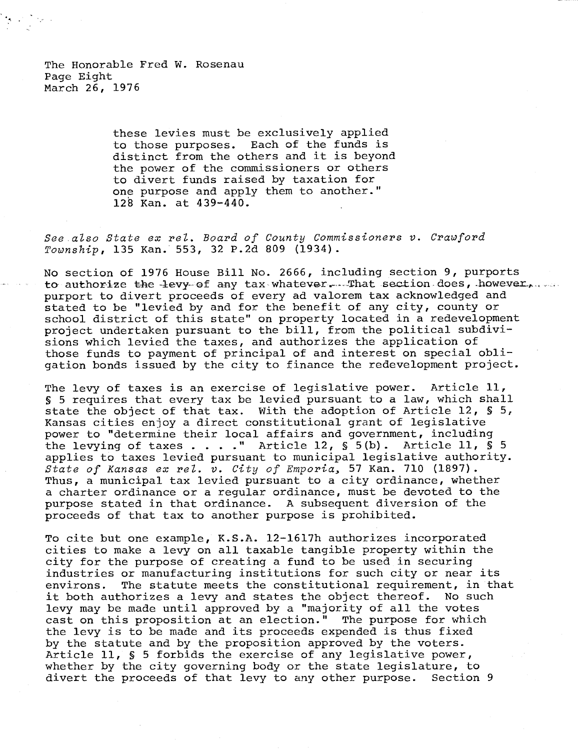The Honorable Fred W. Rosenau Page Eight March 26, 1976

> these levies must be exclusively applied to those purposes. Each of the funds is distinct from the others and it is beyond the power of the commissioners or others to divert funds raised by taxation for one purpose and apply them to another." 128 Kan. at 439-440.

See also State ex rel. Board of County Commissioners v. Crawford Township, 135 Kan. 553, 32 P.2d 809 (1934).

No section of 1976 House Bill No. 2666, including section 9, purports to authorize the levy of any tax whatever. That section does, however, purport to divert proceeds of every ad valorem tax acknowledged and stated to be "levied by and for the benefit of any city, county or school district of this state" on property located in a redevelopment project undertaken pursuant to the bill, from the political subdivisions which levied the taxes, and authorizes the application of those funds to payment of principal of and interest on special obligation bonds issued by the city to finance the redevelopment project.

The levy of taxes is an exercise of legislative power. Article 11, § 5 requires that every tax be levied pursuant to a law, which shall state the object of that tax. With the adoption of Article 12, § 5, Kansas cities enjoy a direct constitutional grant of legislative power to "determine their local affairs and government, including the levying of taxes . . . ." Article 12, § 5(b). Article 11, § 5 applies to taxes levied pursuant to municipal legislative authority. State of Kansas ex rel. v. City of Emporia, 57 Kan. 710 (1897). Thus, a municipal tax levied pursuant to a city ordinance, whether a charter ordinance or a regular ordinance, must be devoted to the purpose stated in that ordinance. A subsequent diversion of the proceeds of that tax to another purpose is prohibited.

To cite but one example, K.S.A. 12-1617h authorizes incorporated cities to make a levy on all taxable tangible property within the city for the purpose of creating a fund to be used in securing industries or manufacturing institutions for such city or near its environs. The statute meets the constitutional requirement, in that it both authorizes a levy and states the object thereof. No such levy may be made until approved by a "majority of all the votes cast on this proposition at an election." The purpose for which the levy is to be made and its proceeds expended is thus fixed by the statute and by the proposition approved by the voters. Article 11, § 5 forbids the exercise of any legislative power, whether by the city governing body or the state legislature, to divert the proceeds of that levy to any other purpose. Section 9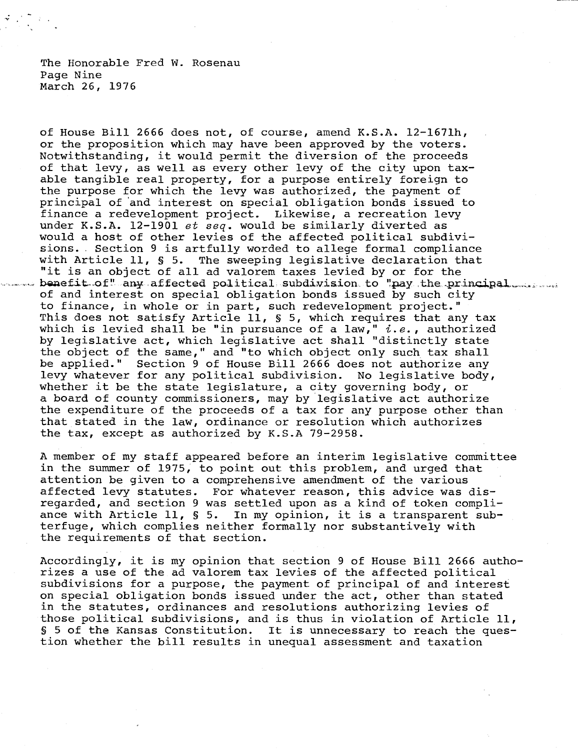The Honorable Fred W. Rosenau Page Nine March 26, 1976

of House Bill 2666 does not, of course, amend K.S.A. 12-1671h, or the proposition which may have been approved by the voters. Notwithstanding, it would permit the diversion of the proceeds of that levy, as well as every other levy of the city upon taxable tangible real property, for a purpose entirely foreign to the purpose for which the levy was authorized, the payment of principal of 'and interest on special obligation bonds issued to finance a redevelopment project. Likewise, a recreation levy under K.S.A. 12-1901 et seq. would be similarly diverted as would a host of other levies of the affected political subdivisions. Section 9 is artfully worded to allege formal compliance with Article 11, § 5. The sweeping legislative declaration that "it is an object of all ad valorem taxes levied by or for the benefit of" any affected political subdivision to "pay the principal the server of and interest on special obligation bonds issued by such city to finance, in whole or in part, such redevelopment project." This does not satisfy Article 11, § 5, which requires that any tax which is levied shall be "in pursuance of a law,"  $i.e.,$  authorized by legislative act, which legislative act shall "distinctly state the object of the same," and "to which object only such tax shall be applied." Section 9 of House Bill 2666 does not authorize any levy whatever for any political subdivision. No legislative body, whether it be the state legislature, a city governing body, or a board of county commissioners, may by legislative act authorize the expenditure of the proceeds of a tax for any purpose other than that stated in the law, ordinance or resolution which authorizes the tax, except as authorized by K.S.A 79-2958.

A member of my staff appeared before an interim legislative committee in the summer of 1975, to point out this problem, and urged that attention be given to a comprehensive amendment of the various affected levy statutes. For whatever reason, this advice was disregarded, and section 9 was settled upon as a kind of token compliance with Article 11, § 5. In my opinion, it is a transparent subterfuge, which complies neither formally nor substantively with the requirements of that section.

Accordingly, it is my opinion that section 9 of House Bill 2666 authorizes a use of the ad valorem tax levies of the affected political subdivisions for a purpose, the payment of principal of and interest on special obligation bonds issued under the act, other than stated in the statutes, ordinances and resolutions authorizing levies of those political subdivisions, and is thus in violation of Article 11, § 5 of the Kansas Constitution. It is unnecessary to reach the question whether the bill results in unequal assessment and taxation